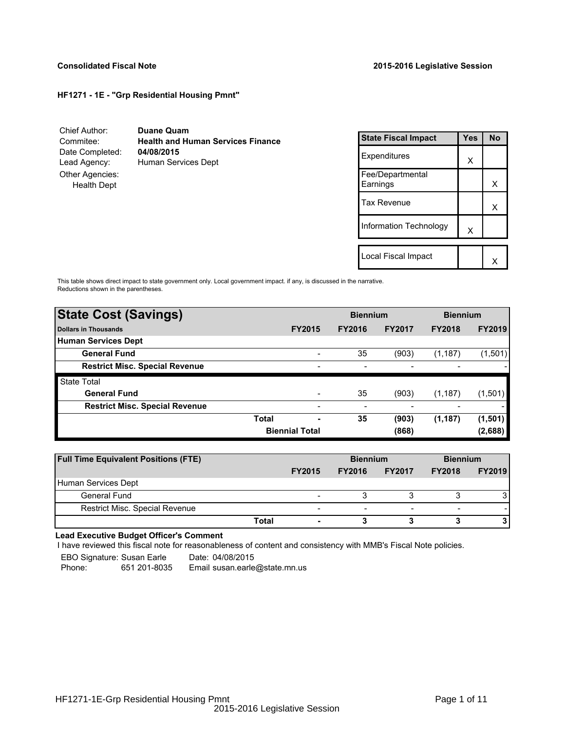## **HF1271 - 1E - "Grp Residential Housing Pmnt"**

| Chief Author:                         | <b>Duane Quam</b>                        |
|---------------------------------------|------------------------------------------|
| Commitee:                             | <b>Health and Human Services Finance</b> |
| Date Completed:                       | 04/08/2015                               |
| Lead Agency:                          | Human Services Dept                      |
| Other Agencies:<br><b>Health Dept</b> |                                          |

| <b>State Fiscal Impact</b>   | Yes | <b>No</b> |
|------------------------------|-----|-----------|
| Expenditures                 | X   |           |
| Fee/Departmental<br>Earnings |     | х         |
| Tax Revenue                  |     | x         |
| Information Technology       | X   |           |
|                              |     |           |
| Local Fiscal Impact          |     |           |

This table shows direct impact to state government only. Local government impact. if any, is discussed in the narrative. Reductions shown in the parentheses.

| <b>State Cost (Savings)</b>           |              |                          | <b>Biennium</b> |               | <b>Biennium</b> |               |
|---------------------------------------|--------------|--------------------------|-----------------|---------------|-----------------|---------------|
| Dollars in Thousands                  |              | <b>FY2015</b>            | <b>FY2016</b>   | <b>FY2017</b> | <b>FY2018</b>   | <b>FY2019</b> |
| Human Services Dept                   |              |                          |                 |               |                 |               |
| <b>General Fund</b>                   |              | -                        | 35              | (903)         | (1, 187)        | (1,501)       |
| <b>Restrict Misc. Special Revenue</b> |              | $\overline{\phantom{0}}$ |                 |               |                 |               |
| <b>State Total</b>                    |              |                          |                 |               |                 |               |
| <b>General Fund</b>                   |              | $\overline{\phantom{0}}$ | 35              | (903)         | (1, 187)        | (1,501)       |
| <b>Restrict Misc. Special Revenue</b> |              | $\overline{\phantom{a}}$ |                 |               |                 |               |
|                                       | <b>Total</b> | ٠                        | 35              | (903)         | (1, 187)        | (1,501)       |
|                                       |              | <b>Biennial Total</b>    |                 | (868)         |                 | (2,688)       |

| <b>Full Time Equivalent Positions (FTE)</b> |               | <b>Biennium</b> |                          | <b>Biennium</b>          |               |
|---------------------------------------------|---------------|-----------------|--------------------------|--------------------------|---------------|
|                                             | <b>FY2015</b> | <b>FY2016</b>   | <b>FY2017</b>            | <b>FY2018</b>            | <b>FY2019</b> |
| Human Services Dept                         |               |                 |                          |                          |               |
| General Fund                                |               |                 |                          |                          |               |
| <b>Restrict Misc. Special Revenue</b>       | -             | -               | $\overline{\phantom{a}}$ | $\overline{\phantom{0}}$ |               |
|                                             | Total         |                 |                          |                          |               |

## **Lead Executive Budget Officer's Comment**

-

I have reviewed this fiscal note for reasonableness of content and consistency with MMB's Fiscal Note policies.

EBO Signature: Susan Earle Date: 04/08/2015

Phone: 651 201-8035 Email susan.earle@state.mn.us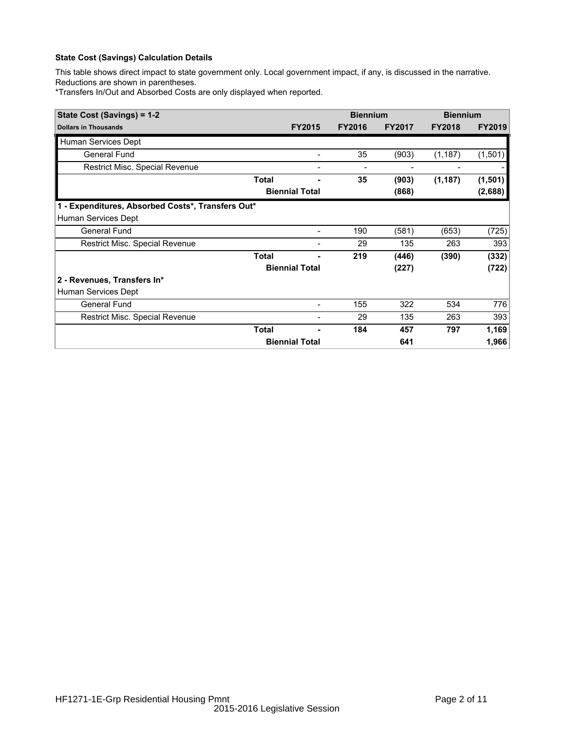## **State Cost (Savings) Calculation Details**

This table shows direct impact to state government only. Local government impact, if any, is discussed in the narrative. Reductions are shown in parentheses.

\*Transfers In/Out and Absorbed Costs are only displayed when reported.

| State Cost (Savings) = 1-2                        |              |                              | <b>Biennium</b> |               | <b>Biennium</b> |               |
|---------------------------------------------------|--------------|------------------------------|-----------------|---------------|-----------------|---------------|
| <b>Dollars in Thousands</b>                       |              | <b>FY2015</b>                | <b>FY2016</b>   | <b>FY2017</b> | <b>FY2018</b>   | <b>FY2019</b> |
| Human Services Dept                               |              |                              |                 |               |                 |               |
| <b>General Fund</b>                               |              |                              | 35              | (903)         | (1, 187)        | (1,501)       |
| Restrict Misc. Special Revenue                    |              | $\qquad \qquad \blacksquare$ | -               |               |                 |               |
|                                                   | <b>Total</b> | $\blacksquare$               | 35              | (903)         | (1, 187)        | (1, 501)      |
|                                                   |              | <b>Biennial Total</b>        |                 | (868)         |                 | (2,688)       |
| 1 - Expenditures, Absorbed Costs*, Transfers Out* |              |                              |                 |               |                 |               |
| Human Services Dept                               |              |                              |                 |               |                 |               |
| <b>General Fund</b>                               |              |                              | 190             | (581)         | (653)           | (725)         |
| Restrict Misc. Special Revenue                    |              |                              | 29              | 135           | 263             | 393           |
|                                                   | <b>Total</b> |                              | 219             | (446)         | (390)           | (332)         |
|                                                   |              | <b>Biennial Total</b>        |                 | (227)         |                 | (722)         |
| 2 - Revenues, Transfers In*                       |              |                              |                 |               |                 |               |
| Human Services Dept                               |              |                              |                 |               |                 |               |
| <b>General Fund</b>                               |              | $\overline{a}$               | 155             | 322           | 534             | 776           |
| Restrict Misc. Special Revenue                    |              |                              | 29              | 135           | 263             | 393           |
|                                                   | <b>Total</b> |                              | 184             | 457           | 797             | 1,169         |
|                                                   |              | <b>Biennial Total</b>        |                 | 641           |                 | 1,966         |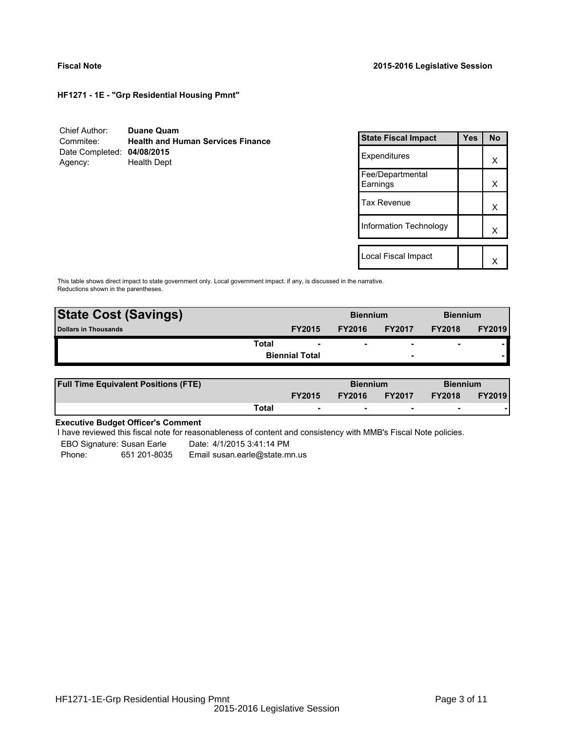**HF1271 - 1E - "Grp Residential Housing Pmnt"**

| Chief Author:              | Duane Quam                               |
|----------------------------|------------------------------------------|
| Commitee:                  | <b>Health and Human Services Finance</b> |
| Date Completed: 04/08/2015 |                                          |
| Agency:                    | <b>Health Dept</b>                       |

| <b>State Fiscal Impact</b>   | Yes | Nο |
|------------------------------|-----|----|
| Expenditures                 |     | x  |
| Fee/Departmental<br>Earnings |     | x  |
| <b>Tax Revenue</b>           |     | x  |
| Information Technology       |     | x  |
|                              |     |    |
| Local Fiscal Impact          |     |    |

This table shows direct impact to state government only. Local government impact. if any, is discussed in the narrative. Reductions shown in the parentheses.

| <b>State Cost (Savings)</b> | <b>Biennium</b><br><b>Biennium</b> |                       |               |                          |                |               |
|-----------------------------|------------------------------------|-----------------------|---------------|--------------------------|----------------|---------------|
| Dollars in Thousands        |                                    | <b>FY2015</b>         | <b>FY2016</b> | <b>FY2017</b>            | <b>FY2018</b>  | <b>FY2019</b> |
|                             | Total                              |                       | ۰             | $\overline{\phantom{0}}$ | $\blacksquare$ |               |
|                             |                                    | <b>Biennial Total</b> |               | $\overline{\phantom{0}}$ |                |               |

| <b>Full Time Equivalent Positions (FTE)</b> |       |                          | <b>Biennium</b> |                          | <b>Biennium</b> |               |
|---------------------------------------------|-------|--------------------------|-----------------|--------------------------|-----------------|---------------|
|                                             |       | <b>FY2015</b>            | <b>FY2016</b>   | <b>FY2017</b>            | <b>FY2018</b>   | <b>FY2019</b> |
|                                             | Total | $\overline{\phantom{a}}$ | $\sim$          | $\overline{\phantom{a}}$ | $\sim$          |               |

# **Executive Budget Officer's Comment**

-

I have reviewed this fiscal note for reasonableness of content and consistency with MMB's Fiscal Note policies.

EBO Signature: Susan Earle Date: 4/1/2015 3:41:14 PM Phone: 651 201-8035 Email susan.earle@state.mn.us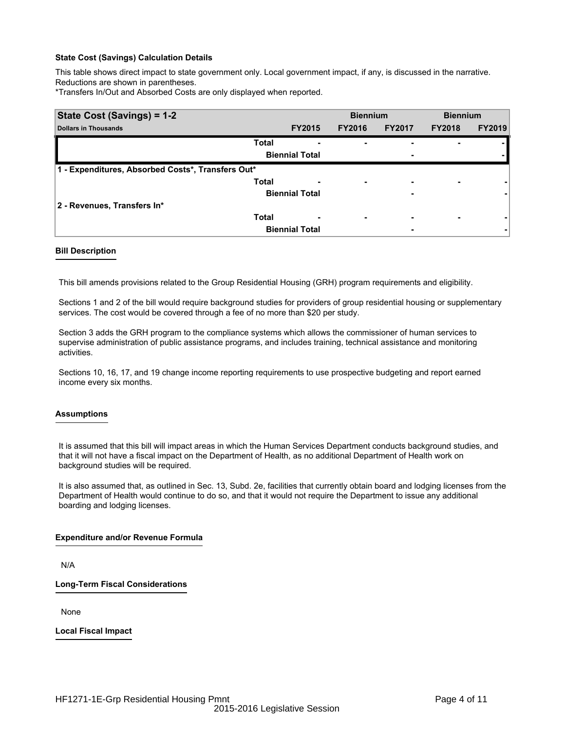### **State Cost (Savings) Calculation Details**

This table shows direct impact to state government only. Local government impact, if any, is discussed in the narrative. Reductions are shown in parentheses.

\*Transfers In/Out and Absorbed Costs are only displayed when reported.

| State Cost (Savings) = 1-2                        |              |                       | <b>Biennium</b>          |               | <b>Biennium</b>          |               |
|---------------------------------------------------|--------------|-----------------------|--------------------------|---------------|--------------------------|---------------|
| <b>Dollars in Thousands</b>                       |              | <b>FY2015</b>         | <b>FY2016</b>            | <b>FY2017</b> | <b>FY2018</b>            | <b>FY2019</b> |
|                                                   | <b>Total</b> |                       | ۰                        |               |                          |               |
|                                                   |              | <b>Biennial Total</b> |                          | -             |                          |               |
| 1 - Expenditures, Absorbed Costs*, Transfers Out* |              |                       |                          |               |                          |               |
|                                                   | <b>Total</b> | -                     | $\overline{\phantom{0}}$ | -             | $\overline{\phantom{0}}$ |               |
|                                                   |              | <b>Biennial Total</b> |                          | -             |                          |               |
| 2 - Revenues, Transfers In*                       |              |                       |                          |               |                          |               |
|                                                   | <b>Total</b> | -                     | $\overline{\phantom{0}}$ | -             | $\overline{\phantom{0}}$ |               |
|                                                   |              | <b>Biennial Total</b> |                          | -             |                          |               |

### **Bill Description**

This bill amends provisions related to the Group Residential Housing (GRH) program requirements and eligibility.

Sections 1 and 2 of the bill would require background studies for providers of group residential housing or supplementary services. The cost would be covered through a fee of no more than \$20 per study.

Section 3 adds the GRH program to the compliance systems which allows the commissioner of human services to supervise administration of public assistance programs, and includes training, technical assistance and monitoring activities.

Sections 10, 16, 17, and 19 change income reporting requirements to use prospective budgeting and report earned income every six months.

### **Assumptions**

It is assumed that this bill will impact areas in which the Human Services Department conducts background studies, and that it will not have a fiscal impact on the Department of Health, as no additional Department of Health work on background studies will be required.

It is also assumed that, as outlined in Sec. 13, Subd. 2e, facilities that currently obtain board and lodging licenses from the Department of Health would continue to do so, and that it would not require the Department to issue any additional boarding and lodging licenses.

### **Expenditure and/or Revenue Formula**

N/A

**Long-Term Fiscal Considerations**

None

**Local Fiscal Impact**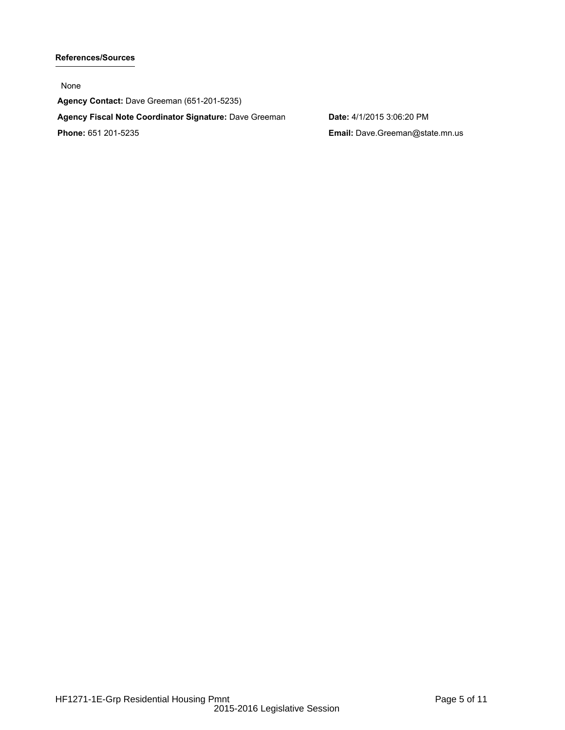# **References/Sources**

None

**Agency Contact:** Dave Greeman (651-201-5235) **Agency Fiscal Note Coordinator Signature:** Dave Greeman **Date:** 4/1/2015 3:06:20 PM **Phone:** 651 201-5235 **Email:** Dave.Greeman@state.mn.us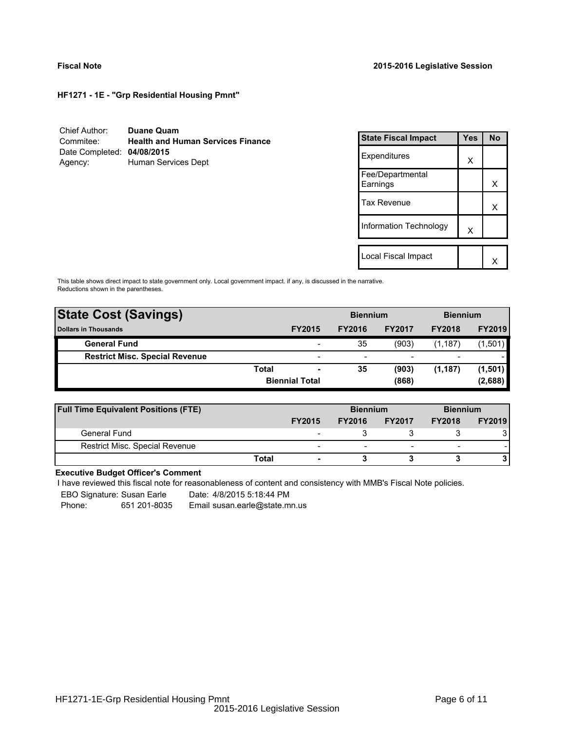**HF1271 - 1E - "Grp Residential Housing Pmnt"**

| Chief Author:              | <b>Duane Quam</b>                        |
|----------------------------|------------------------------------------|
| Commitee:                  | <b>Health and Human Services Finance</b> |
| Date Completed: 04/08/2015 |                                          |
| Agency:                    | Human Services Dept                      |

| <b>State Fiscal Impact</b>   | Yes | N٥ |
|------------------------------|-----|----|
| Expenditures                 | X   |    |
| Fee/Departmental<br>Earnings |     | x  |
| <b>Tax Revenue</b>           |     | x  |
| Information Technology       | X   |    |
|                              |     |    |
| Local Fiscal Impact          |     |    |

This table shows direct impact to state government only. Local government impact. if any, is discussed in the narrative. Reductions shown in the parentheses.

| <b>State Cost (Savings)</b>           |       | <b>Biennium</b>       |               | <b>Biennium</b> |                          |               |
|---------------------------------------|-------|-----------------------|---------------|-----------------|--------------------------|---------------|
| <b>Dollars in Thousands</b>           |       | <b>FY2015</b>         | <b>FY2016</b> | <b>FY2017</b>   | <b>FY2018</b>            | <b>FY2019</b> |
| <b>General Fund</b>                   |       |                       | 35            | (903)           | (1, 187)                 | (1,501)       |
| <b>Restrict Misc. Special Revenue</b> |       | -                     | -             |                 | $\overline{\phantom{0}}$ |               |
|                                       | Total | -                     | 35            | (903)           | (1, 187)                 | (1, 501)      |
|                                       |       | <b>Biennial Total</b> |               | (868)           |                          | (2,688)       |
|                                       |       |                       |               |                 |                          |               |

| <b>Full Time Equivalent Positions (FTE)</b> |       |                          | <b>Biennium</b> |                          | <b>Biennium</b>          |               |
|---------------------------------------------|-------|--------------------------|-----------------|--------------------------|--------------------------|---------------|
|                                             |       | <b>FY2015</b>            | <b>FY2016</b>   | <b>FY2017</b>            | <b>FY2018</b>            | <b>FY2019</b> |
| General Fund                                |       | $\overline{\phantom{0}}$ |                 |                          |                          |               |
| Restrict Misc. Special Revenue              |       | -                        | -               | $\overline{\phantom{0}}$ | $\overline{\phantom{a}}$ |               |
|                                             | Total |                          |                 |                          |                          |               |

# **Executive Budget Officer's Comment**

I have reviewed this fiscal note for reasonableness of content and consistency with MMB's Fiscal Note policies.

EBO Signature: Susan Earle Date: 4/8/2015 5:18:44 PM

Phone: 651 201-8035 Email susan.earle@state.mn.us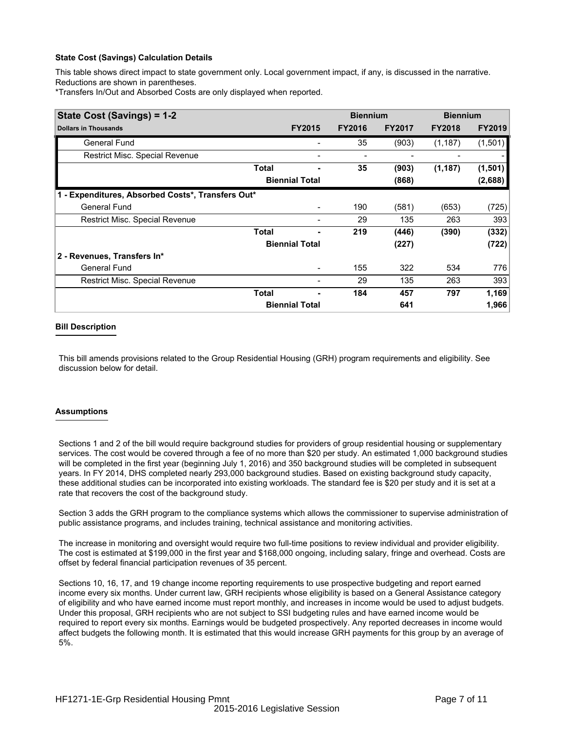## **State Cost (Savings) Calculation Details**

This table shows direct impact to state government only. Local government impact, if any, is discussed in the narrative. Reductions are shown in parentheses.

\*Transfers In/Out and Absorbed Costs are only displayed when reported.

| State Cost (Savings) = 1-2                        |              |                       | <b>Biennium</b> |               | <b>Biennium</b> |               |
|---------------------------------------------------|--------------|-----------------------|-----------------|---------------|-----------------|---------------|
| <b>Dollars in Thousands</b>                       |              | <b>FY2015</b>         | <b>FY2016</b>   | <b>FY2017</b> | <b>FY2018</b>   | <b>FY2019</b> |
| <b>General Fund</b>                               |              |                       | 35              | (903)         | (1, 187)        | (1,501)       |
| Restrict Misc. Special Revenue                    |              |                       |                 |               |                 |               |
|                                                   | <b>Total</b> | ۰                     | 35              | (903)         | (1, 187)        | (1,501)       |
|                                                   |              | <b>Biennial Total</b> |                 | (868)         |                 | (2,688)       |
| 1 - Expenditures, Absorbed Costs*, Transfers Out* |              |                       |                 |               |                 |               |
| <b>General Fund</b>                               |              |                       | 190             | (581)         | (653)           | (725)         |
| Restrict Misc. Special Revenue                    |              |                       | 29              | 135           | 263             | 393           |
|                                                   | Total        |                       | 219             | (446)         | (390)           | (332)         |
|                                                   |              | <b>Biennial Total</b> |                 | (227)         |                 | (722)         |
| 2 - Revenues, Transfers In*                       |              |                       |                 |               |                 |               |
| <b>General Fund</b>                               |              |                       | 155             | 322           | 534             | 776           |
| <b>Restrict Misc. Special Revenue</b>             |              |                       | 29              | 135           | 263             | 393           |
|                                                   | <b>Total</b> |                       | 184             | 457           | 797             | 1,169         |
|                                                   |              | <b>Biennial Total</b> |                 | 641           |                 | 1,966         |

### **Bill Description**

This bill amends provisions related to the Group Residential Housing (GRH) program requirements and eligibility. See discussion below for detail.

## **Assumptions**

Sections 1 and 2 of the bill would require background studies for providers of group residential housing or supplementary services. The cost would be covered through a fee of no more than \$20 per study. An estimated 1,000 background studies will be completed in the first year (beginning July 1, 2016) and 350 background studies will be completed in subsequent years. In FY 2014, DHS completed nearly 293,000 background studies. Based on existing background study capacity, these additional studies can be incorporated into existing workloads. The standard fee is \$20 per study and it is set at a rate that recovers the cost of the background study.

Section 3 adds the GRH program to the compliance systems which allows the commissioner to supervise administration of public assistance programs, and includes training, technical assistance and monitoring activities.

The increase in monitoring and oversight would require two full-time positions to review individual and provider eligibility. The cost is estimated at \$199,000 in the first year and \$168,000 ongoing, including salary, fringe and overhead. Costs are offset by federal financial participation revenues of 35 percent.

Sections 10, 16, 17, and 19 change income reporting requirements to use prospective budgeting and report earned income every six months. Under current law, GRH recipients whose eligibility is based on a General Assistance category of eligibility and who have earned income must report monthly, and increases in income would be used to adjust budgets. Under this proposal, GRH recipients who are not subject to SSI budgeting rules and have earned income would be required to report every six months. Earnings would be budgeted prospectively. Any reported decreases in income would affect budgets the following month. It is estimated that this would increase GRH payments for this group by an average of 5%.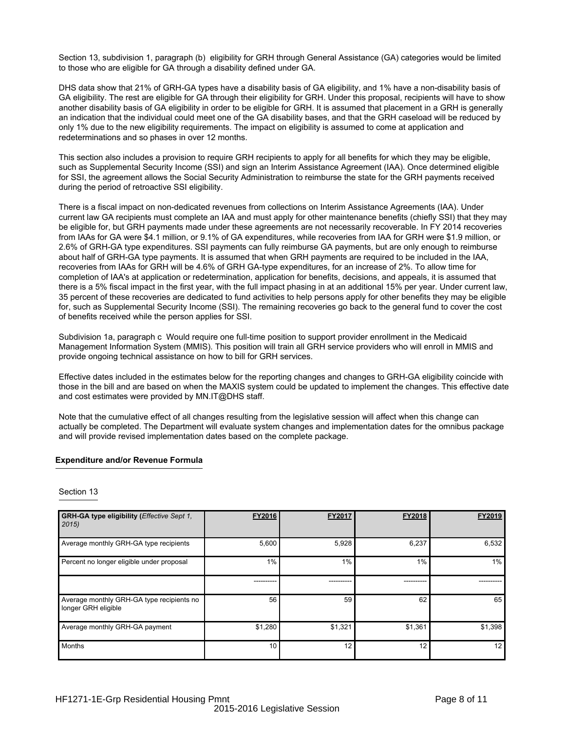Section 13, subdivision 1, paragraph (b) eligibility for GRH through General Assistance (GA) categories would be limited to those who are eligible for GA through a disability defined under GA.

DHS data show that 21% of GRH-GA types have a disability basis of GA eligibility, and 1% have a non-disability basis of GA eligibility. The rest are eligible for GA through their eligibility for GRH. Under this proposal, recipients will have to show another disability basis of GA eligibility in order to be eligible for GRH. It is assumed that placement in a GRH is generally an indication that the individual could meet one of the GA disability bases, and that the GRH caseload will be reduced by only 1% due to the new eligibility requirements. The impact on eligibility is assumed to come at application and redeterminations and so phases in over 12 months.

This section also includes a provision to require GRH recipients to apply for all benefits for which they may be eligible, such as Supplemental Security Income (SSI) and sign an Interim Assistance Agreement (IAA). Once determined eligible for SSI, the agreement allows the Social Security Administration to reimburse the state for the GRH payments received during the period of retroactive SSI eligibility.

There is a fiscal impact on non-dedicated revenues from collections on Interim Assistance Agreements (IAA). Under current law GA recipients must complete an IAA and must apply for other maintenance benefits (chiefly SSI) that they may be eligible for, but GRH payments made under these agreements are not necessarily recoverable. In FY 2014 recoveries from IAAs for GA were \$4.1 million, or 9.1% of GA expenditures, while recoveries from IAA for GRH were \$1.9 million, or 2.6% of GRH-GA type expenditures. SSI payments can fully reimburse GA payments, but are only enough to reimburse about half of GRH-GA type payments. It is assumed that when GRH payments are required to be included in the IAA, recoveries from IAAs for GRH will be 4.6% of GRH GA-type expenditures, for an increase of 2%. To allow time for completion of IAA's at application or redetermination, application for benefits, decisions, and appeals, it is assumed that there is a 5% fiscal impact in the first year, with the full impact phasing in at an additional 15% per year. Under current law, 35 percent of these recoveries are dedicated to fund activities to help persons apply for other benefits they may be eligible for, such as Supplemental Security Income (SSI). The remaining recoveries go back to the general fund to cover the cost of benefits received while the person applies for SSI.

Subdivision 1a, paragraph c Would require one full-time position to support provider enrollment in the Medicaid Management Information System (MMIS). This position will train all GRH service providers who will enroll in MMIS and provide ongoing technical assistance on how to bill for GRH services.

Effective dates included in the estimates below for the reporting changes and changes to GRH-GA eligibility coincide with those in the bill and are based on when the MAXIS system could be updated to implement the changes. This effective date and cost estimates were provided by MN.IT@DHS staff.

Note that the cumulative effect of all changes resulting from the legislative session will affect when this change can actually be completed. The Department will evaluate system changes and implementation dates for the omnibus package and will provide revised implementation dates based on the complete package.

### **Expenditure and/or Revenue Formula**

| Section 13 |  |
|------------|--|
|------------|--|

| GRH-GA type eligibility (Effective Sept 1,<br>2015               | FY2016          | FY2017  | FY2018  | FY2019  |
|------------------------------------------------------------------|-----------------|---------|---------|---------|
| Average monthly GRH-GA type recipients                           | 5,600           | 5,928   | 6,237   | 6,532   |
| Percent no longer eligible under proposal                        | 1%              | $1\%$   | 1%      | 1%      |
|                                                                  | ----------      |         |         |         |
| Average monthly GRH-GA type recipients no<br>longer GRH eligible | 56              | 59      | 62      | 65      |
| Average monthly GRH-GA payment                                   | \$1,280         | \$1,321 | \$1,361 | \$1,398 |
| <b>Months</b>                                                    | 10 <sup>1</sup> | 12      | 12      | 12      |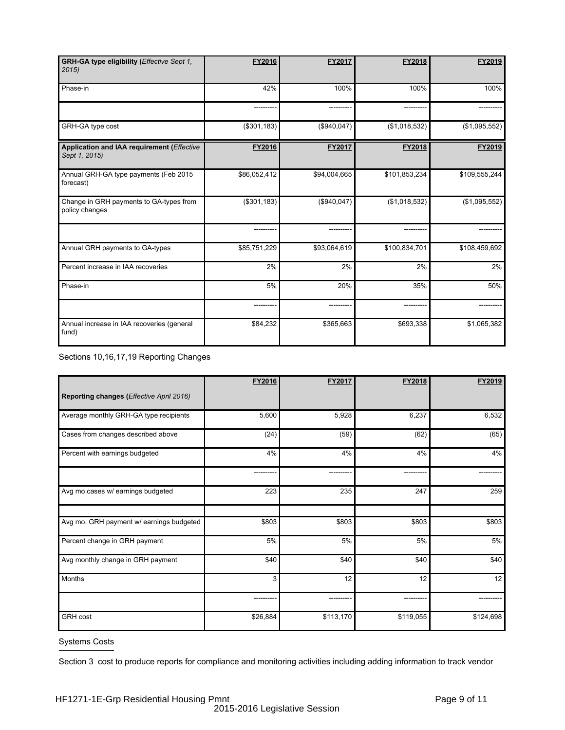| GRH-GA type eligibility (Effective Sept 1,<br>2015          | FY2016       | FY2017       | FY2018        | FY2019        |
|-------------------------------------------------------------|--------------|--------------|---------------|---------------|
| Phase-in                                                    | 42%          | 100%         | 100%          | 100%          |
|                                                             |              |              |               |               |
| GRH-GA type cost                                            | (\$301, 183) | (\$940,047)  | (\$1,018,532) | (\$1,095,552) |
| Application and IAA requirement (Effective<br>Sept 1, 2015) | FY2016       | FY2017       | FY2018        | FY2019        |
| Annual GRH-GA type payments (Feb 2015<br>forecast)          | \$86,052,412 | \$94,004,665 | \$101,853,234 | \$109,555,244 |
| Change in GRH payments to GA-types from<br>policy changes   | (\$301, 183) | (\$940,047)  | (\$1,018,532) | (\$1,095,552) |
|                                                             |              |              |               |               |
| Annual GRH payments to GA-types                             | \$85,751,229 | \$93,064,619 | \$100,834,701 | \$108,459,692 |
| Percent increase in IAA recoveries                          | 2%           | 2%           | 2%            | 2%            |
| Phase-in                                                    | 5%           | 20%          | 35%           | 50%           |
|                                                             |              |              |               |               |
| Annual increase in IAA recoveries (general<br>fund)         | \$84,232     | \$365,663    | \$693,338     | \$1,065,382   |

Sections 10,16,17,19 Reporting Changes

|                                          | FY2016   | FY2017    | FY2018    | FY2019    |
|------------------------------------------|----------|-----------|-----------|-----------|
| Reporting changes (Effective April 2016) |          |           |           |           |
| Average monthly GRH-GA type recipients   | 5,600    | 5,928     | 6,237     | 6,532     |
| Cases from changes described above       | (24)     | (59)      | (62)      | (65)      |
| Percent with earnings budgeted           | 4%       | 4%        | 4%        | 4%        |
|                                          |          |           |           |           |
| Avg mo.cases w/ earnings budgeted        | 223      | 235       | 247       | 259       |
|                                          |          |           |           |           |
| Avg mo. GRH payment w/ earnings budgeted | \$803    | \$803     | \$803     | \$803     |
| Percent change in GRH payment            | 5%       | 5%        | 5%        | 5%        |
| Avg monthly change in GRH payment        | \$40     | \$40      | \$40      | \$40      |
| Months                                   | 3        | 12        | 12        | 12        |
|                                          |          |           |           |           |
| <b>GRH</b> cost                          | \$26,884 | \$113,170 | \$119,055 | \$124,698 |

# Systems Costs

Section 3 cost to produce reports for compliance and monitoring activities including adding information to track vendor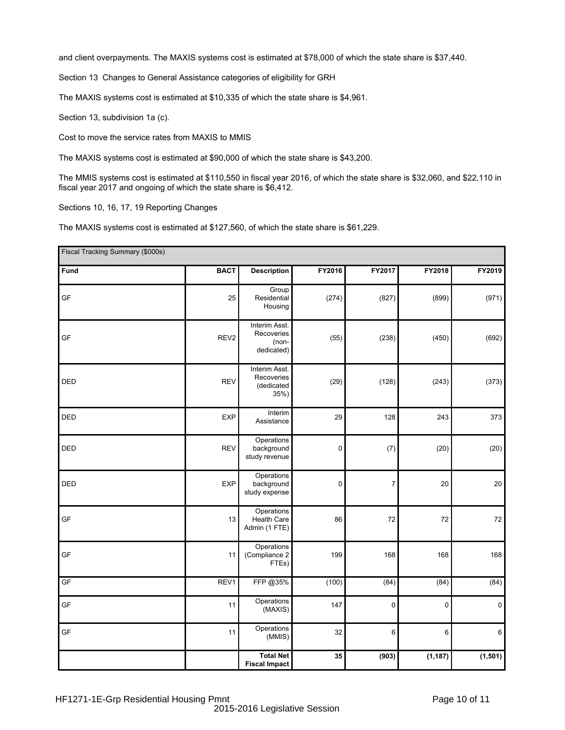and client overpayments. The MAXIS systems cost is estimated at \$78,000 of which the state share is \$37,440.

Section 13 Changes to General Assistance categories of eligibility for GRH

The MAXIS systems cost is estimated at \$10,335 of which the state share is \$4,961.

Section 13, subdivision 1a (c).

Cost to move the service rates from MAXIS to MMIS

The MAXIS systems cost is estimated at \$90,000 of which the state share is \$43,200.

The MMIS systems cost is estimated at \$110,550 in fiscal year 2016, of which the state share is \$32,060, and \$22,110 in fiscal year 2017 and ongoing of which the state share is \$6,412.

Sections 10, 16, 17, 19 Reporting Changes

The MAXIS systems cost is estimated at \$127,560, of which the state share is \$61,229.

| Fiscal Tracking Summary (\$000s) |                  |                                                      |           |                  |           |           |
|----------------------------------|------------------|------------------------------------------------------|-----------|------------------|-----------|-----------|
| Fund                             | <b>BACT</b>      | <b>Description</b>                                   | FY2016    | FY2017           | FY2018    | FY2019    |
| GF                               | 25               | Group<br>Residential<br>Housing                      | (274)     | (827)            | (899)     | (971)     |
| GF                               | REV <sub>2</sub> | Interim Asst.<br>Recoveries<br>(non-<br>dedicated)   | (55)      | (238)            | (450)     | (692)     |
| DED                              | <b>REV</b>       | Interim Asst.<br>Recoveries<br>(dedicated<br>$35%$ ) | (29)      | (128)            | (243)     | (373)     |
| <b>DED</b>                       | <b>EXP</b>       | Interim<br>Assistance                                | 29        | 128              | 243       | 373       |
| <b>DED</b>                       | <b>REV</b>       | Operations<br>background<br>study revenue            | $\pmb{0}$ | (7)              | (20)      | (20)      |
| DED                              | <b>EXP</b>       | Operations<br>background<br>study expense            | $\pmb{0}$ | $\boldsymbol{7}$ | 20        | $20\,$    |
| GF                               | 13               | Operations<br><b>Health Care</b><br>Admin (1 FTE)    | 86        | 72               | 72        | 72        |
| GF                               | 11               | Operations<br>(Compliance 2<br>FTEs)                 | 199       | 168              | 168       | 168       |
| GF                               | REV1             | FFP @35%                                             | (100)     | (84)             | (84)      | (84)      |
| GF                               | 11               | Operations<br>(MAXIS)                                | 147       | $\pmb{0}$        | $\pmb{0}$ | $\pmb{0}$ |
| GF                               | 11               | Operations<br>(MMIS)                                 | 32        | 6                | 6         | 6         |
|                                  |                  | <b>Total Net</b><br><b>Fiscal Impact</b>             | 35        | (903)            | (1, 187)  | (1, 501)  |